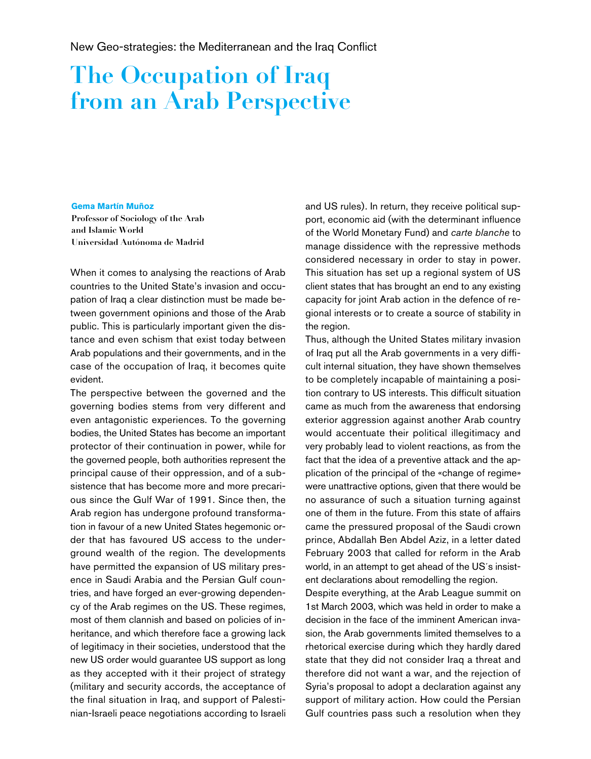New Geo-strategies: the Mediterranean and the Iraq Conflict

## The Occupation of Iraq from an Arab Perspective

## **Gema Martín Muñoz**

Professor of Sociology of the Arab and Islamic World Universidad Autónoma de Madrid

When it comes to analysing the reactions of Arab countries to the United State's invasion and occupation of Iraq a clear distinction must be made between government opinions and those of the Arab public. This is particularly important given the distance and even schism that exist today between Arab populations and their governments, and in the case of the occupation of Iraq, it becomes quite evident.

The perspective between the governed and the governing bodies stems from very different and even antagonistic experiences. To the governing bodies, the United States has become an important protector of their continuation in power, while for the governed people, both authorities represent the principal cause of their oppression, and of a subsistence that has become more and more precarious since the Gulf War of 1991. Since then, the Arab region has undergone profound transformation in favour of a new United States hegemonic order that has favoured US access to the underground wealth of the region. The developments have permitted the expansion of US military presence in Saudi Arabia and the Persian Gulf countries, and have forged an ever-growing dependency of the Arab regimes on the US. These regimes, most of them clannish and based on policies of inheritance, and which therefore face a growing lack of legitimacy in their societies, understood that the new US order would guarantee US support as long as they accepted with it their project of strategy (military and security accords, the acceptance of the final situation in Iraq, and support of Palestinian-Israeli peace negotiations according to Israeli and US rules). In return, they receive political support, economic aid (with the determinant influence of the World Monetary Fund) and *carte blanche* to manage dissidence with the repressive methods considered necessary in order to stay in power. This situation has set up a regional system of US client states that has brought an end to any existing capacity for joint Arab action in the defence of regional interests or to create a source of stability in the region.

Thus, although the United States military invasion of Iraq put all the Arab governments in a very difficult internal situation, they have shown themselves to be completely incapable of maintaining a position contrary to US interests. This difficult situation came as much from the awareness that endorsing exterior aggression against another Arab country would accentuate their political illegitimacy and very probably lead to violent reactions, as from the fact that the idea of a preventive attack and the application of the principal of the «change of regime» were unattractive options, given that there would be no assurance of such a situation turning against one of them in the future. From this state of affairs came the pressured proposal of the Saudi crown prince, Abdallah Ben Abdel Aziz, in a letter dated February 2003 that called for reform in the Arab world, in an attempt to get ahead of the US´s insistent declarations about remodelling the region.

Despite everything, at the Arab League summit on 1st March 2003, which was held in order to make a decision in the face of the imminent American invasion, the Arab governments limited themselves to a rhetorical exercise during which they hardly dared state that they did not consider Iraq a threat and therefore did not want a war, and the rejection of Syria's proposal to adopt a declaration against any support of military action. How could the Persian Gulf countries pass such a resolution when they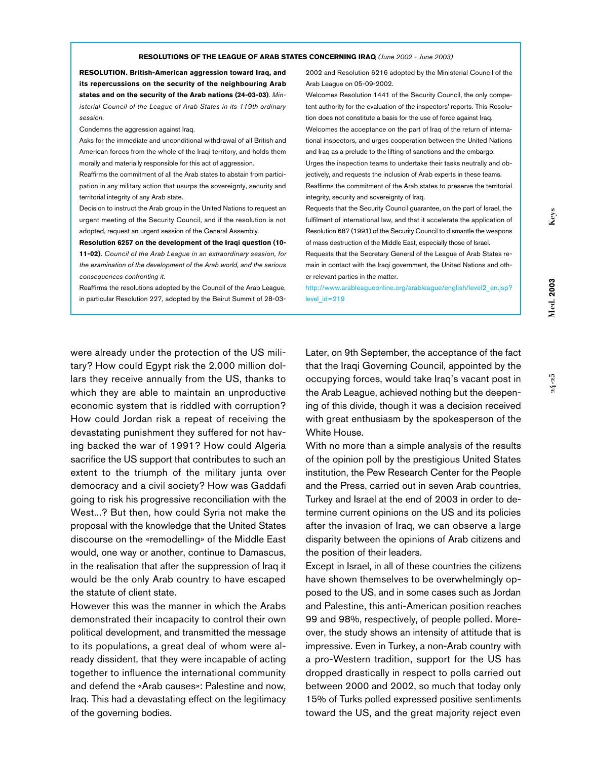**RESOLUTION. British-American aggression toward Iraq, and its repercussions on the security of the neighbouring Arab states and on the security of the Arab nations (24-03-03)**. *Ministerial Council of the League of Arab States in its 119th ordinary session*.

Condemns the aggression against Iraq.

Asks for the immediate and unconditional withdrawal of all British and American forces from the whole of the Iraqi territory, and holds them morally and materially responsible for this act of aggression.

Reaffirms the commitment of all the Arab states to abstain from participation in any military action that usurps the sovereignty, security and territorial integrity of any Arab state.

Decision to instruct the Arab group in the United Nations to request an urgent meeting of the Security Council, and if the resolution is not adopted, request an urgent session of the General Assembly.

**Resolution 6257 on the development of the Iraqi question (10- 11-02)**. *Council of the Arab League in an extraordinary session, for the examination of the development of the Arab world, and the serious consequences confronting it*.

Reaffirms the resolutions adopted by the Council of the Arab League, in particular Resolution 227, adopted by the Beirut Summit of 28-032002 and Resolution 6216 adopted by the Ministerial Council of the Arab League on 05-09-2002.

Welcomes Resolution 1441 of the Security Council, the only competent authority for the evaluation of the inspectors' reports. This Resolution does not constitute a basis for the use of force against Iraq. Welcomes the acceptance on the part of Iraq of the return of interna-

tional inspectors, and urges cooperation between the United Nations and Iraq as a prelude to the lifting of sanctions and the embargo.

Urges the inspection teams to undertake their tasks neutrally and objectively, and requests the inclusion of Arab experts in these teams. Reaffirms the commitment of the Arab states to preserve the territorial integrity, security and sovereignty of Iraq.

Requests that the Security Council guarantee, on the part of Israel, the fulfilment of international law, and that it accelerate the application of Resolution 687 (1991) of the Security Council to dismantle the weapons of mass destruction of the Middle East, especially those of Israel.

Requests that the Secretary General of the League of Arab States remain in contact with the Iraqi government, the United Nations and other relevant parties in the matter.

http://www.arableagueonline.org/arableague/english/level2\_en.jsp? level  $id=219$ 

Keys

were already under the protection of the US military? How could Egypt risk the 2,000 million dollars they receive annually from the US, thanks to which they are able to maintain an unproductive economic system that is riddled with corruption? How could Jordan risk a repeat of receiving the devastating punishment they suffered for not having backed the war of 1991? How could Algeria sacrifice the US support that contributes to such an extent to the triumph of the military junta over democracy and a civil society? How was Gaddafi going to risk his progressive reconciliation with the West...? But then, how could Syria not make the proposal with the knowledge that the United States discourse on the «remodelling» of the Middle East would, one way or another, continue to Damascus, in the realisation that after the suppression of Iraq it would be the only Arab country to have escaped the statute of client state.

However this was the manner in which the Arabs demonstrated their incapacity to control their own political development, and transmitted the message to its populations, a great deal of whom were already dissident, that they were incapable of acting together to influence the international community and defend the «Arab causes»: Palestine and now, Iraq. This had a devastating effect on the legitimacy of the governing bodies.

Later, on 9th September, the acceptance of the fact that the Iraqi Governing Council, appointed by the occupying forces, would take Iraq's vacant post in the Arab League, achieved nothing but the deepening of this divide, though it was a decision received with great enthusiasm by the spokesperson of the White House.

With no more than a simple analysis of the results of the opinion poll by the prestigious United States institution, the Pew Research Center for the People and the Press, carried out in seven Arab countries, Turkey and Israel at the end of 2003 in order to determine current opinions on the US and its policies after the invasion of Iraq, we can observe a large disparity between the opinions of Arab citizens and the position of their leaders.

Except in Israel, in all of these countries the citizens have shown themselves to be overwhelmingly opposed to the US, and in some cases such as Jordan and Palestine, this anti-American position reaches 99 and 98%, respectively, of people polled. Moreover, the study shows an intensity of attitude that is impressive. Even in Turkey, a non-Arab country with a pro-Western tradition, support for the US has dropped drastically in respect to polls carried out between 2000 and 2002, so much that today only 15% of Turks polled expressed positive sentiments toward the US, and the great majority reject even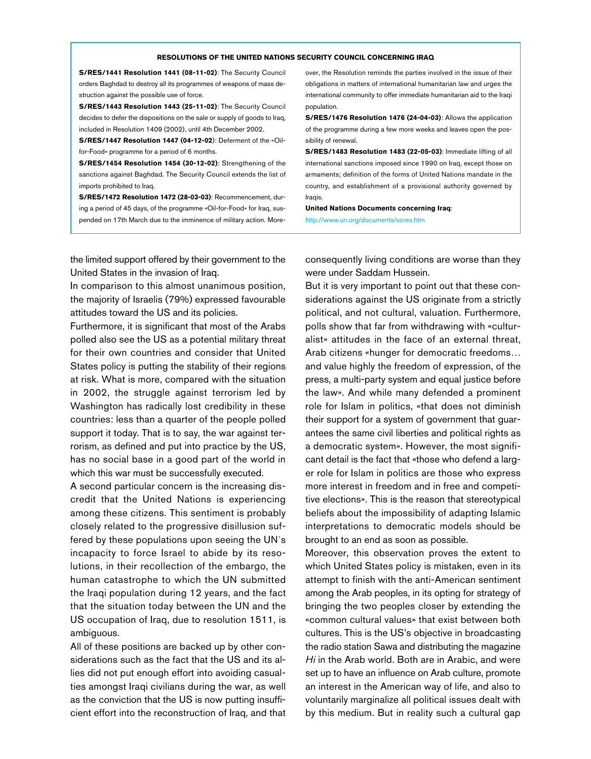## **RESOLUTIONS OF THE UNITED NATIONS SECURITY COUNCIL CONCERNING IRAQ**

**S/RES/1441 Resolution 1441 (08-11-02)**: The Security Council orders Baghdad to destroy all its programmes of weapons of mass destruction against the possible use of force.

**S/RES/1443 Resolution 1443 (25-11-02)**: The Security Council decides to defer the dispositions on the sale or supply of goods to Iraq, included in Resolution 1409 (2002), until 4th December 2002.

**S/RES/1447 Resolution 1447 (04-12-02**): Deferment of the «Oilfor-Food» programme for a period of 6 months.

**S/RES/1454 Resolution 1454 (30-12-02)**: Strengthening of the sanctions against Baghdad. The Security Council extends the list of imports prohibited to Iraq.

**S/RES/1472 Resolution 1472 (28-03-03)**: Recommencement, during a period of 45 days, of the programme «Oil-for-Food» for Iraq, suspended on 17th March due to the imminence of military action. Moreover, the Resolution reminds the parties involved in the issue of their obligations in matters of international humanitarian law and urges the international community to offer immediate humanitarian aid to the Iraqi population.

**S/RES/1476 Resolution 1476 (24-04-03)**: Allows the application of the programme during a few more weeks and leaves open the possibility of renewal.

**S/RES/1483 Resolution 1483 (22-05-03)**: Immediate lifting of all international sanctions imposed since 1990 on Iraq, except those on armaments; definition of the forms of United Nations mandate in the country, and establishment of a provisional authority governed by Iraqis.

**United Nations Documents concerning Iraq**: http://www.un.org/documents/scres.htm

the limited support offered by their government to the United States in the invasion of Iraq.

In comparison to this almost unanimous position, the majority of Israelis (79%) expressed favourable attitudes toward the US and its policies.

Furthermore, it is significant that most of the Arabs polled also see the US as a potential military threat for their own countries and consider that United States policy is putting the stability of their regions at risk. What is more, compared with the situation in 2002, the struggle against terrorism led by Washington has radically lost credibility in these countries: less than a quarter of the people polled support it today. That is to say, the war against terrorism, as defined and put into practice by the US, has no social base in a good part of the world in which this war must be successfully executed.

A second particular concern is the increasing discredit that the United Nations is experiencing among these citizens. This sentiment is probably closely related to the progressive disillusion suffered by these populations upon seeing the UN´s incapacity to force Israel to abide by its resolutions, in their recollection of the embargo, the human catastrophe to which the UN submitted the Iraqi population during 12 years, and the fact that the situation today between the UN and the US occupation of Iraq, due to resolution 1511, is ambiguous.

All of these positions are backed up by other considerations such as the fact that the US and its allies did not put enough effort into avoiding casualties amongst Iraqi civilians during the war, as well as the conviction that the US is now putting insufficient effort into the reconstruction of Iraq, and that

consequently living conditions are worse than they were under Saddam Hussein.

But it is very important to point out that these considerations against the US originate from a strictly political, and not cultural, valuation. Furthermore, polls show that far from withdrawing with «culturalist» attitudes in the face of an external threat, Arab citizens «hunger for democratic freedoms… and value highly the freedom of expression, of the press, a multi-party system and equal justice before the law». And while many defended a prominent role for Islam in politics, «that does not diminish their support for a system of government that guarantees the same civil liberties and political rights as a democratic system». However, the most significant detail is the fact that «those who defend a larger role for Islam in politics are those who express more interest in freedom and in free and competitive elections». This is the reason that stereotypical beliefs about the impossibility of adapting Islamic interpretations to democratic models should be brought to an end as soon as possible.

Moreover, this observation proves the extent to which United States policy is mistaken, even in its attempt to finish with the anti-American sentiment among the Arab peoples, in its opting for strategy of bringing the two peoples closer by extending the «common cultural values» that exist between both cultures. This is the US's objective in broadcasting the radio station Sawa and distributing the magazine *Hi* in the Arab world. Both are in Arabic, and were set up to have an influence on Arab culture, promote an interest in the American way of life, and also to voluntarily marginalize all political issues dealt with by this medium. But in reality such a cultural gap